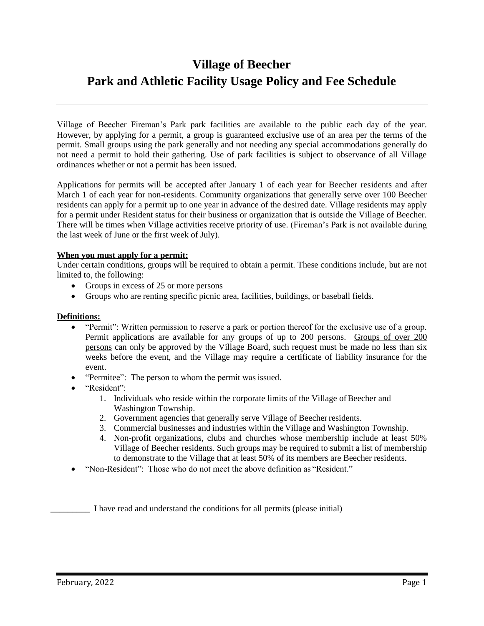# **Village of Beecher Park and Athletic Facility Usage Policy and Fee Schedule**

Village of Beecher Fireman's Park park facilities are available to the public each day of the year. However, by applying for a permit, a group is guaranteed exclusive use of an area per the terms of the permit. Small groups using the park generally and not needing any special accommodations generally do not need a permit to hold their gathering. Use of park facilities is subject to observance of all Village ordinances whether or not a permit has been issued.

Applications for permits will be accepted after January 1 of each year for Beecher residents and after March 1 of each year for non-residents. Community organizations that generally serve over 100 Beecher residents can apply for a permit up to one year in advance of the desired date. Village residents may apply for a permit under Resident status for their business or organization that is outside the Village of Beecher. There will be times when Village activities receive priority of use. (Fireman's Park is not available during the last week of June or the first week of July).

#### **When you must apply for a permit:**

Under certain conditions, groups will be required to obtain a permit. These conditions include, but are not limited to, the following:

- Groups in excess of 25 or more persons
- Groups who are renting specific picnic area, facilities, buildings, or baseball fields.

#### **Definitions:**

- "Permit": Written permission to reserve a park or portion thereof for the exclusive use of a group. Permit applications are available for any groups of up to 200 persons. Groups of over 200 persons can only be approved by the Village Board, such request must be made no less than six weeks before the event, and the Village may require a certificate of liability insurance for the event.
- "Permitee": The person to whom the permit was issued.
- "Resident":
	- 1. Individuals who reside within the corporate limits of the Village of Beecher and Washington Township.
	- 2. Government agencies that generally serve Village of Beecher residents.
	- 3. Commercial businesses and industries within the Village and Washington Township.
	- 4. Non-profit organizations, clubs and churches whose membership include at least 50% Village of Beecher residents. Such groups may be required to submit a list of membership to demonstrate to the Village that at least 50% of its members are Beecher residents.
- "Non-Resident": Those who do not meet the above definition as "Resident."

\_\_\_\_\_\_\_\_\_ I have read and understand the conditions for all permits (please initial)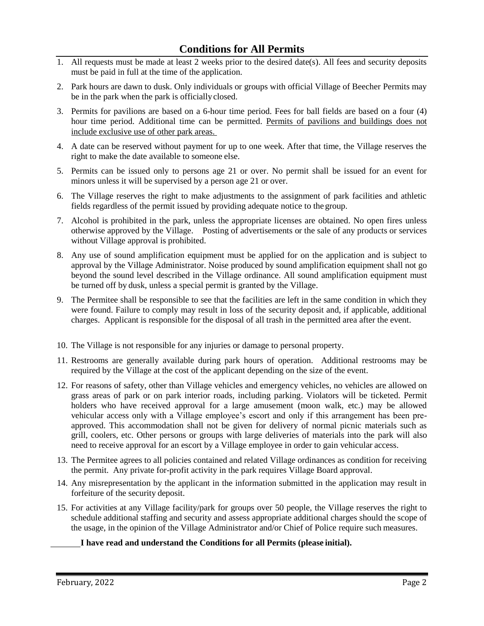- 1. All requests must be made at least 2 weeks prior to the desired date(s). All fees and security deposits must be paid in full at the time of the application.
- 2. Park hours are dawn to dusk. Only individuals or groups with official Village of Beecher Permits may be in the park when the park is officiallyclosed.
- 3. Permits for pavilions are based on a 6-hour time period. Fees for ball fields are based on a four (4) hour time period. Additional time can be permitted. Permits of pavilions and buildings does not include exclusive use of other park areas.
- 4. A date can be reserved without payment for up to one week. After that time, the Village reserves the right to make the date available to someone else.
- 5. Permits can be issued only to persons age 21 or over. No permit shall be issued for an event for minors unless it will be supervised by a person age 21 or over.
- 6. The Village reserves the right to make adjustments to the assignment of park facilities and athletic fields regardless of the permit issued by providing adequate notice to the group.
- 7. Alcohol is prohibited in the park, unless the appropriate licenses are obtained. No open fires unless otherwise approved by the Village. Posting of advertisements or the sale of any products or services without Village approval is prohibited.
- 8. Any use of sound amplification equipment must be applied for on the application and is subject to approval by the Village Administrator. Noise produced by sound amplification equipment shall not go beyond the sound level described in the Village ordinance. All sound amplification equipment must be turned off by dusk, unless a special permit is granted by the Village.
- 9. The Permitee shall be responsible to see that the facilities are left in the same condition in which they were found. Failure to comply may result in loss of the security deposit and, if applicable, additional charges. Applicant is responsible for the disposal of all trash in the permitted area after the event.
- 10. The Village is not responsible for any injuries or damage to personal property.
- 11. Restrooms are generally available during park hours of operation. Additional restrooms may be required by the Village at the cost of the applicant depending on the size of the event.
- 12. For reasons of safety, other than Village vehicles and emergency vehicles, no vehicles are allowed on grass areas of park or on park interior roads, including parking. Violators will be ticketed. Permit holders who have received approval for a large amusement (moon walk, etc.) may be allowed vehicular access only with a Village employee's escort and only if this arrangement has been preapproved. This accommodation shall not be given for delivery of normal picnic materials such as grill, coolers, etc. Other persons or groups with large deliveries of materials into the park will also need to receive approval for an escort by a Village employee in order to gain vehicular access.
- 13. The Permitee agrees to all policies contained and related Village ordinances as condition for receiving the permit. Any private for-profit activity in the park requires Village Board approval.
- 14. Any misrepresentation by the applicant in the information submitted in the application may result in forfeiture of the security deposit.
- 15. For activities at any Village facility/park for groups over 50 people, the Village reserves the right to schedule additional staffing and security and assess appropriate additional charges should the scope of the usage, in the opinion of the Village Administrator and/or Chief of Police require such measures.

### **I have read and understand the Conditions for all Permits (please initial).**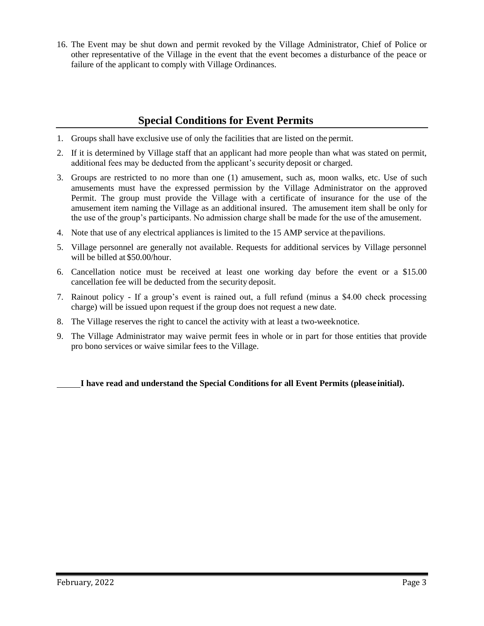16. The Event may be shut down and permit revoked by the Village Administrator, Chief of Police or other representative of the Village in the event that the event becomes a disturbance of the peace or failure of the applicant to comply with Village Ordinances.

# **Special Conditions for Event Permits**

- 1. Groups shall have exclusive use of only the facilities that are listed on the permit.
- 2. If it is determined by Village staff that an applicant had more people than what was stated on permit, additional fees may be deducted from the applicant's security deposit or charged.
- 3. Groups are restricted to no more than one (1) amusement, such as, moon walks, etc. Use of such amusements must have the expressed permission by the Village Administrator on the approved Permit. The group must provide the Village with a certificate of insurance for the use of the amusement item naming the Village as an additional insured. The amusement item shall be only for the use of the group's participants. No admission charge shall be made for the use of the amusement.
- 4. Note that use of any electrical appliances is limited to the 15 AMP service at thepavilions.
- 5. Village personnel are generally not available. Requests for additional services by Village personnel will be billed at \$50.00/hour.
- 6. Cancellation notice must be received at least one working day before the event or a \$15.00 cancellation fee will be deducted from the security deposit.
- 7. Rainout policy If a group's event is rained out, a full refund (minus a \$4.00 check processing charge) will be issued upon request if the group does not request a new date.
- 8. The Village reserves the right to cancel the activity with at least a two-weeknotice.
- 9. The Village Administrator may waive permit fees in whole or in part for those entities that provide pro bono services or waive similar fees to the Village.

**I have read and understand the Special Conditions for all Event Permits (please initial).**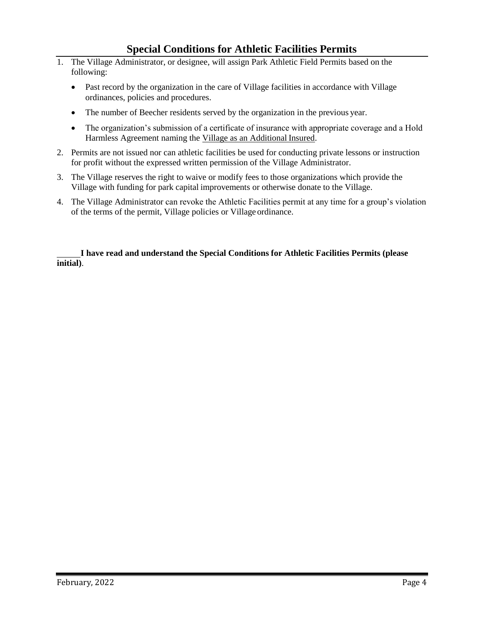# **Special Conditions for Athletic Facilities Permits**

- 1. The Village Administrator, or designee, will assign Park Athletic Field Permits based on the following:
	- Past record by the organization in the care of Village facilities in accordance with Village ordinances, policies and procedures.
	- The number of Beecher residents served by the organization in the previous year.
	- The organization's submission of a certificate of insurance with appropriate coverage and a Hold Harmless Agreement naming the Village as an Additional Insured.
- 2. Permits are not issued nor can athletic facilities be used for conducting private lessons or instruction for profit without the expressed written permission of the Village Administrator.
- 3. The Village reserves the right to waive or modify fees to those organizations which provide the Village with funding for park capital improvements or otherwise donate to the Village.
- 4. The Village Administrator can revoke the Athletic Facilities permit at any time for a group's violation of the terms of the permit, Village policies or Village ordinance.

**I have read and understand the Special Conditions for Athletic Facilities Permits (please initial)**.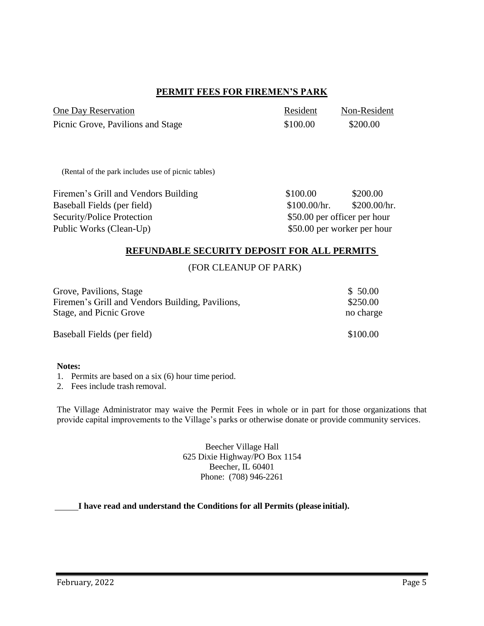## **PERMIT FEES FOR FIREMEN'S PARK**

| One Day Reservation               | Resident | Non-Resident |
|-----------------------------------|----------|--------------|
| Picnic Grove, Pavilions and Stage | \$100.00 | \$200.00     |

(Rental of the park includes use of picnic tables)

Firemen's Grill and Vendors Building \$100.00 \$200.00 Baseball Fields (per field)  $$100.00/hr.$  \$200.00/hr. Security/Police Protection  $$50.00$  per officer per hour Public Works (Clean-Up)  $$50.00$  per worker per hour

## **REFUNDABLE SECURITY DEPOSIT FOR ALL PERMITS**

#### (FOR CLEANUP OF PARK)

| Grove, Pavilions, Stage                          | \$50.00   |
|--------------------------------------------------|-----------|
| Firemen's Grill and Vendors Building, Pavilions, | \$250.00  |
| Stage, and Picnic Grove                          | no charge |
| Baseball Fields (per field)                      | \$100.00  |

#### **Notes:**

1. Permits are based on a six (6) hour time period.

2. Fees include trash removal.

The Village Administrator may waive the Permit Fees in whole or in part for those organizations that provide capital improvements to the Village's parks or otherwise donate or provide community services.

> Beecher Village Hall 625 Dixie Highway/PO Box 1154 Beecher, IL 60401 Phone: (708) 946-2261

### **I have read and understand the Conditions for all Permits (please initial).**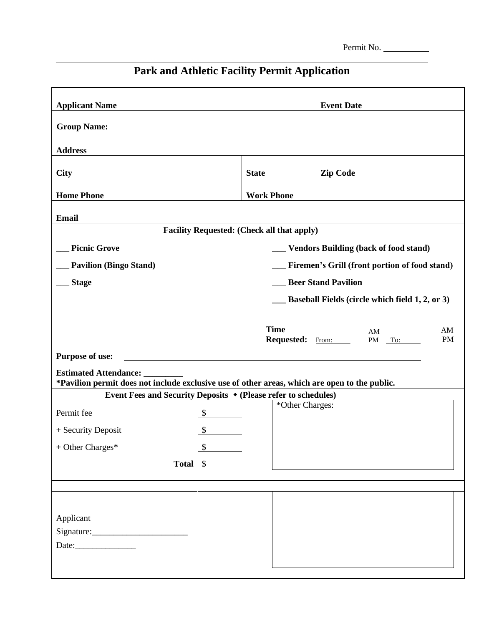Permit No.

# **Park and Athletic Facility Permit Application**

| <b>Applicant Name</b>                                                                         |                                                 |                                                                | <b>Event Date</b>                             |           |
|-----------------------------------------------------------------------------------------------|-------------------------------------------------|----------------------------------------------------------------|-----------------------------------------------|-----------|
| <b>Group Name:</b>                                                                            |                                                 |                                                                |                                               |           |
|                                                                                               |                                                 |                                                                |                                               |           |
| <b>Address</b>                                                                                |                                                 |                                                                |                                               |           |
| <b>City</b>                                                                                   |                                                 | <b>State</b>                                                   | <b>Zip Code</b>                               |           |
|                                                                                               |                                                 |                                                                |                                               |           |
| <b>Home Phone</b>                                                                             |                                                 | <b>Work Phone</b>                                              |                                               |           |
| <b>Email</b>                                                                                  |                                                 |                                                                |                                               |           |
|                                                                                               |                                                 | <b>Facility Requested: (Check all that apply)</b>              |                                               |           |
| <b>Picnic Grove</b>                                                                           |                                                 |                                                                | __ Vendors Building (back of food stand)      |           |
| <b>Pavilion (Bingo Stand)</b>                                                                 |                                                 |                                                                | Firemen's Grill (front portion of food stand) |           |
| <b>Stage</b>                                                                                  |                                                 |                                                                | <b>Beer Stand Pavilion</b>                    |           |
|                                                                                               | Baseball Fields (circle which field 1, 2, or 3) |                                                                |                                               |           |
|                                                                                               |                                                 |                                                                |                                               |           |
|                                                                                               |                                                 | <b>Time</b>                                                    | AM                                            | AM        |
|                                                                                               |                                                 | Requested: From:                                               | PM To:                                        | <b>PM</b> |
| Purpose of use:                                                                               |                                                 |                                                                |                                               |           |
| <b>Estimated Attendance:</b>                                                                  |                                                 |                                                                |                                               |           |
| *Pavilion permit does not include exclusive use of other areas, which are open to the public. |                                                 | Event Fees and Security Deposits ◆ (Please refer to schedules) |                                               |           |
|                                                                                               |                                                 | *Other Charges:                                                |                                               |           |
| Permit fee                                                                                    |                                                 |                                                                |                                               |           |
| + Security Deposit                                                                            | $\mathcal{S}$                                   |                                                                |                                               |           |
| + Other Charges*                                                                              | $\sqrt{\frac{2}{5}}$                            |                                                                |                                               |           |
|                                                                                               | Total <u>\$</u>                                 |                                                                |                                               |           |
|                                                                                               |                                                 |                                                                |                                               |           |
|                                                                                               |                                                 |                                                                |                                               |           |
| Applicant                                                                                     |                                                 |                                                                |                                               |           |
|                                                                                               |                                                 |                                                                |                                               |           |
|                                                                                               |                                                 |                                                                |                                               |           |
|                                                                                               |                                                 |                                                                |                                               |           |
|                                                                                               |                                                 |                                                                |                                               |           |